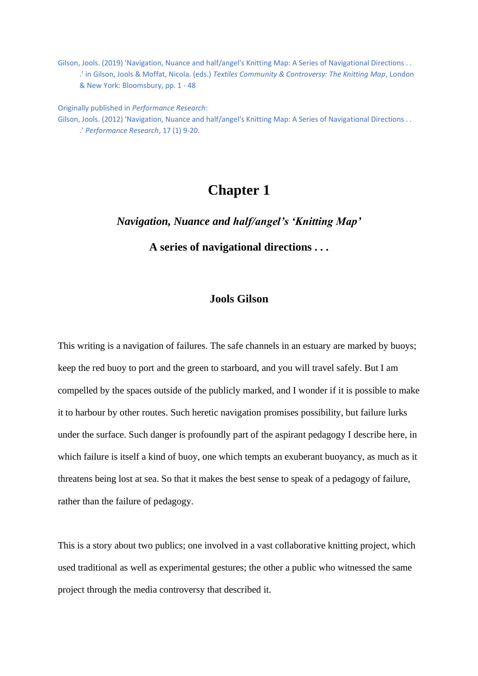Gilson, Jools. (2019) 'Navigation, Nuance and half/angel's Knitting Map: A Series of Navigational Directions . . .' in Gilson, Jools & Moffat, Nicola. (eds.) *Textiles Community & Controversy: The Knitting Map*, London & New York: Bloomsbury, pp. 1 - 48

Originally published in *Performance Research*: Gilson, Jools. (2012) 'Navigation, Nuance and half/angel's Knitting Map: A Series of Navigational Directions . . .' *Performance Research*, 17 (1) 9-20.

# **Chapter 1**

*Navigation, Nuance and half/angel's 'Knitting Map'*

**A series of navigational directions . . .**

# **Jools Gilson**

This writing is a navigation of failures. The safe channels in an estuary are marked by buoys; keep the red buoy to port and the green to starboard, and you will travel safely. But I am compelled by the spaces outside of the publicly marked, and I wonder if it is possible to make it to harbour by other routes. Such heretic navigation promises possibility, but failure lurks under the surface. Such danger is profoundly part of the aspirant pedagogy I describe here, in which failure is itself a kind of buoy, one which tempts an exuberant buoyancy, as much as it threatens being lost at sea. So that it makes the best sense to speak of a pedagogy of failure, rather than the failure of pedagogy.

This is a story about two publics; one involved in a vast collaborative knitting project, which used traditional as well as experimental gestures; the other a public who witnessed the same project through the media controversy that described it.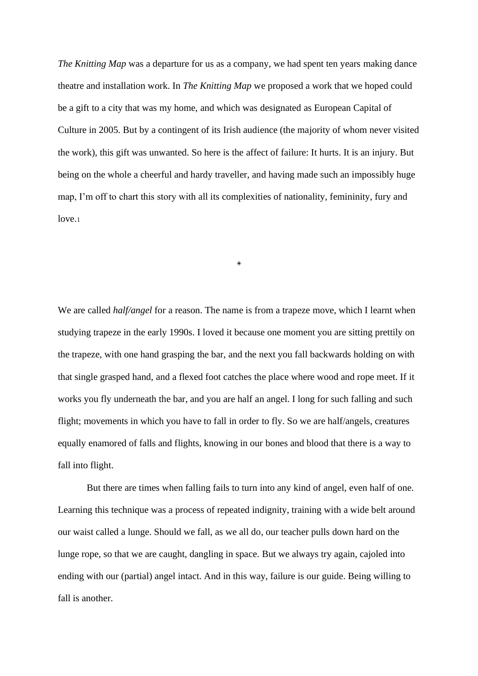*The Knitting Map* was a departure for us as a company, we had spent ten years making dance theatre and installation work. In *The Knitting Map* we proposed a work that we hoped could be a gift to a city that was my home, and which was designated as European Capital of Culture in 2005. But by a contingent of its Irish audience (the majority of whom never visited the work), this gift was unwanted. So here is the affect of failure: It hurts. It is an injury. But being on the whole a cheerful and hardy traveller, and having made such an impossibly huge map, I'm off to chart this story with all its complexities of nationality, femininity, fury and  $love<sub>1</sub>$ 

◈

We are called *half/angel* for a reason. The name is from a trapeze move, which I learnt when studying trapeze in the early 1990s. I loved it because one moment you are sitting prettily on the trapeze, with one hand grasping the bar, and the next you fall backwards holding on with that single grasped hand, and a flexed foot catches the place where wood and rope meet. If it works you fly underneath the bar, and you are half an angel. I long for such falling and such flight; movements in which you have to fall in order to fly. So we are half/angels, creatures equally enamored of falls and flights, knowing in our bones and blood that there is a way to fall into flight.

But there are times when falling fails to turn into any kind of angel, even half of one. Learning this technique was a process of repeated indignity, training with a wide belt around our waist called a lunge. Should we fall, as we all do, our teacher pulls down hard on the lunge rope, so that we are caught, dangling in space. But we always try again, cajoled into ending with our (partial) angel intact. And in this way, failure is our guide. Being willing to fall is another.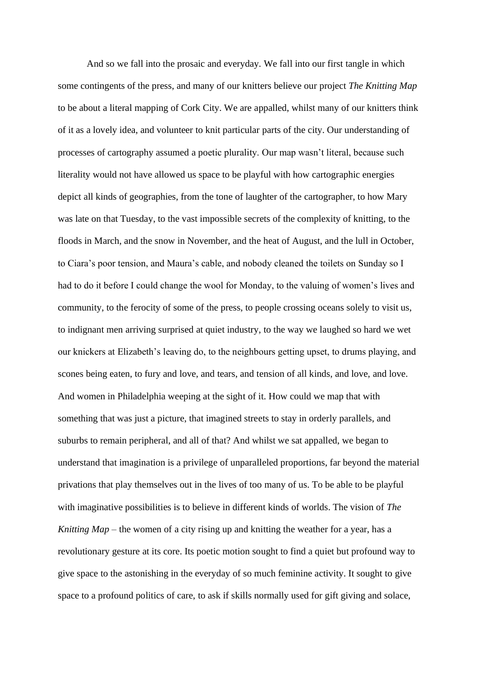And so we fall into the prosaic and everyday. We fall into our first tangle in which some contingents of the press, and many of our knitters believe our project *The Knitting Map* to be about a literal mapping of Cork City. We are appalled, whilst many of our knitters think of it as a lovely idea, and volunteer to knit particular parts of the city. Our understanding of processes of cartography assumed a poetic plurality. Our map wasn't literal, because such literality would not have allowed us space to be playful with how cartographic energies depict all kinds of geographies, from the tone of laughter of the cartographer, to how Mary was late on that Tuesday, to the vast impossible secrets of the complexity of knitting, to the floods in March, and the snow in November, and the heat of August, and the lull in October, to Ciara's poor tension, and Maura's cable, and nobody cleaned the toilets on Sunday so I had to do it before I could change the wool for Monday, to the valuing of women's lives and community, to the ferocity of some of the press, to people crossing oceans solely to visit us, to indignant men arriving surprised at quiet industry, to the way we laughed so hard we wet our knickers at Elizabeth's leaving do, to the neighbours getting upset, to drums playing, and scones being eaten, to fury and love, and tears, and tension of all kinds, and love, and love. And women in Philadelphia weeping at the sight of it. How could we map that with something that was just a picture, that imagined streets to stay in orderly parallels, and suburbs to remain peripheral, and all of that? And whilst we sat appalled, we began to understand that imagination is a privilege of unparalleled proportions, far beyond the material privations that play themselves out in the lives of too many of us. To be able to be playful with imaginative possibilities is to believe in different kinds of worlds. The vision of *The Knitting Map* – the women of a city rising up and knitting the weather for a year, has a revolutionary gesture at its core. Its poetic motion sought to find a quiet but profound way to give space to the astonishing in the everyday of so much feminine activity. It sought to give space to a profound politics of care, to ask if skills normally used for gift giving and solace,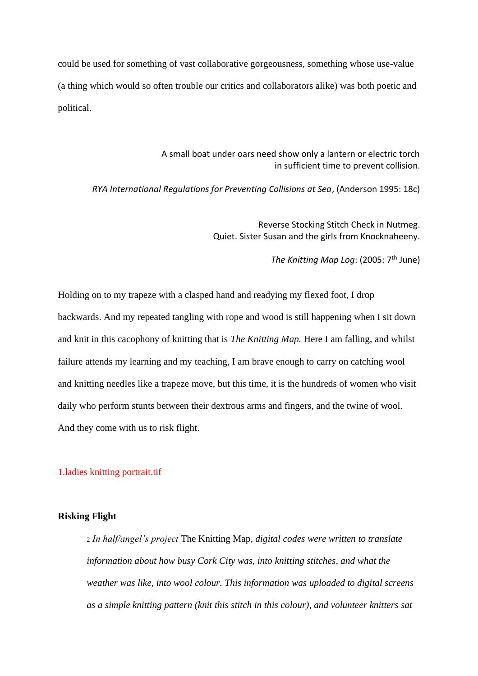could be used for something of vast collaborative gorgeousness, something whose use-value (a thing which would so often trouble our critics and collaborators alike) was both poetic and political.

> A small boat under oars need show only a lantern or electric torch in sufficient time to prevent collision.

*RYA International Regulations for Preventing Collisions at Sea*, (Anderson 1995: 18c)

Reverse Stocking Stitch Check in Nutmeg. Quiet. Sister Susan and the girls from Knocknaheeny.

The Knitting Map Log: (2005: 7<sup>th</sup> June)

Holding on to my trapeze with a clasped hand and readying my flexed foot, I drop backwards. And my repeated tangling with rope and wood is still happening when I sit down and knit in this cacophony of knitting that is *The Knitting Map.* Here I am falling, and whilst failure attends my learning and my teaching, I am brave enough to carry on catching wool and knitting needles like a trapeze move, but this time, it is the hundreds of women who visit daily who perform stunts between their dextrous arms and fingers, and the twine of wool. And they come with us to risk flight.

1.ladies knitting portrait.tif

### **Risking Flight**

<sup>2</sup> *In half/angel's project* The Knitting Map*, digital codes were written to translate information about how busy Cork City was, into knitting stitches, and what the weather was like, into wool colour. This information was uploaded to digital screens as a simple knitting pattern (knit this stitch in this colour), and volunteer knitters sat*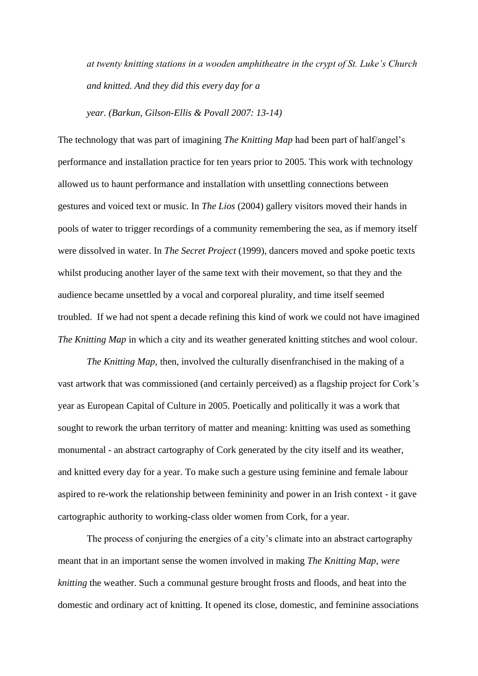*at twenty knitting stations in a wooden amphitheatre in the crypt of St. Luke's Church and knitted. And they did this every day for a* 

*year. (Barkun, Gilson-Ellis & Povall 2007: 13-14)*

The technology that was part of imagining *The Knitting Map* had been part of half/angel's performance and installation practice for ten years prior to 2005. This work with technology allowed us to haunt performance and installation with unsettling connections between gestures and voiced text or music. In *The Lios* (2004) gallery visitors moved their hands in pools of water to trigger recordings of a community remembering the sea, as if memory itself were dissolved in water. In *The Secret Project* (1999), dancers moved and spoke poetic texts whilst producing another layer of the same text with their movement, so that they and the audience became unsettled by a vocal and corporeal plurality, and time itself seemed troubled. If we had not spent a decade refining this kind of work we could not have imagined *The Knitting Map* in which a city and its weather generated knitting stitches and wool colour.

*The Knitting Map,* then, involved the culturally disenfranchised in the making of a vast artwork that was commissioned (and certainly perceived) as a flagship project for Cork's year as European Capital of Culture in 2005. Poetically and politically it was a work that sought to rework the urban territory of matter and meaning: knitting was used as something monumental - an abstract cartography of Cork generated by the city itself and its weather, and knitted every day for a year. To make such a gesture using feminine and female labour aspired to re-work the relationship between femininity and power in an Irish context - it gave cartographic authority to working-class older women from Cork, for a year.

The process of conjuring the energies of a city's climate into an abstract cartography meant that in an important sense the women involved in making *The Knitting Map*, *were knitting* the weather. Such a communal gesture brought frosts and floods, and heat into the domestic and ordinary act of knitting. It opened its close, domestic, and feminine associations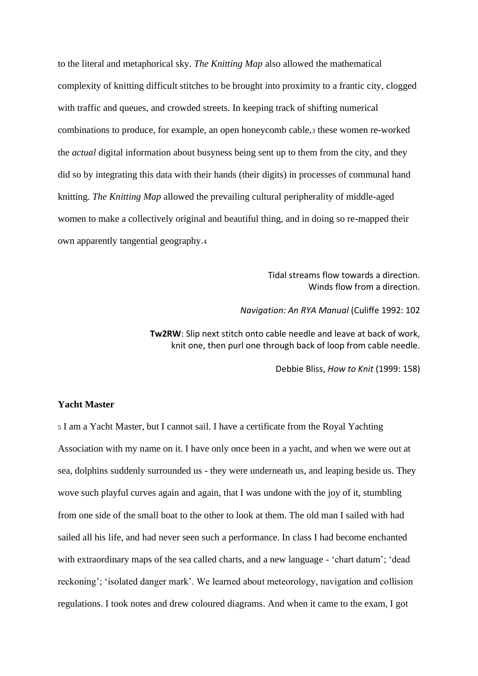to the literal and metaphorical sky. *The Knitting Map* also allowed the mathematical complexity of knitting difficult stitches to be brought into proximity to a frantic city, clogged with traffic and queues, and crowded streets. In keeping track of shifting numerical combinations to produce, for example, an open honeycomb cable,<sup>3</sup> these women re-worked the *actual* digital information about busyness being sent up to them from the city, and they did so by integrating this data with their hands (their digits) in processes of communal hand knitting. *The Knitting Map* allowed the prevailing cultural peripherality of middle-aged women to make a collectively original and beautiful thing, and in doing so re-mapped their own apparently tangential geography.<sup>4</sup>

> Tidal streams flow towards a direction. Winds flow from a direction.

*Navigation: An RYA Manual* (Culiffe 1992: 102

**Tw2RW**: Slip next stitch onto cable needle and leave at back of work, knit one, then purl one through back of loop from cable needle.

Debbie Bliss, *How to Knit* (1999: 158)

# **Yacht Master**

<sup>5</sup> I am a Yacht Master, but I cannot sail. I have a certificate from the Royal Yachting Association with my name on it. I have only once been in a yacht, and when we were out at sea, dolphins suddenly surrounded us - they were underneath us, and leaping beside us. They wove such playful curves again and again, that I was undone with the joy of it, stumbling from one side of the small boat to the other to look at them. The old man I sailed with had sailed all his life, and had never seen such a performance. In class I had become enchanted with extraordinary maps of the sea called charts, and a new language - 'chart datum'; 'dead reckoning'; 'isolated danger mark'. We learned about meteorology, navigation and collision regulations. I took notes and drew coloured diagrams. And when it came to the exam, I got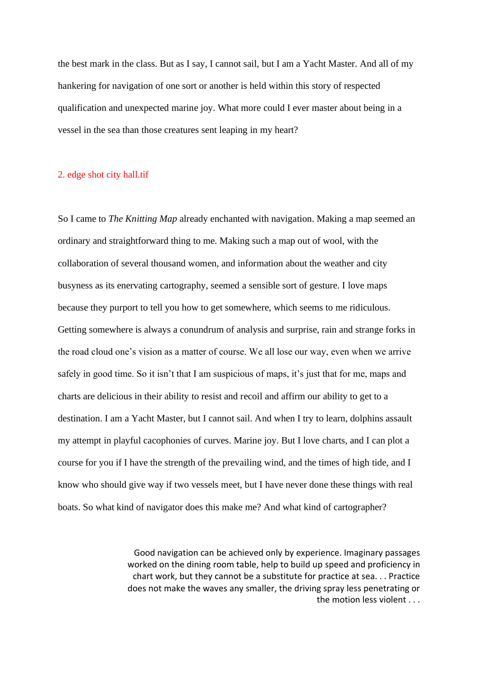the best mark in the class. But as I say, I cannot sail, but I am a Yacht Master. And all of my hankering for navigation of one sort or another is held within this story of respected qualification and unexpected marine joy. What more could I ever master about being in a vessel in the sea than those creatures sent leaping in my heart?

# 2. edge shot city hall.tif

So I came to *The Knitting Map* already enchanted with navigation. Making a map seemed an ordinary and straightforward thing to me. Making such a map out of wool, with the collaboration of several thousand women, and information about the weather and city busyness as its enervating cartography, seemed a sensible sort of gesture. I love maps because they purport to tell you how to get somewhere, which seems to me ridiculous. Getting somewhere is always a conundrum of analysis and surprise, rain and strange forks in the road cloud one's vision as a matter of course. We all lose our way, even when we arrive safely in good time. So it isn't that I am suspicious of maps, it's just that for me, maps and charts are delicious in their ability to resist and recoil and affirm our ability to get to a destination. I am a Yacht Master, but I cannot sail. And when I try to learn, dolphins assault my attempt in playful cacophonies of curves. Marine joy. But I love charts, and I can plot a course for you if I have the strength of the prevailing wind, and the times of high tide, and I know who should give way if two vessels meet, but I have never done these things with real boats. So what kind of navigator does this make me? And what kind of cartographer?

> Good navigation can be achieved only by experience. Imaginary passages worked on the dining room table, help to build up speed and proficiency in chart work, but they cannot be a substitute for practice at sea. . . Practice does not make the waves any smaller, the driving spray less penetrating or the motion less violent . . .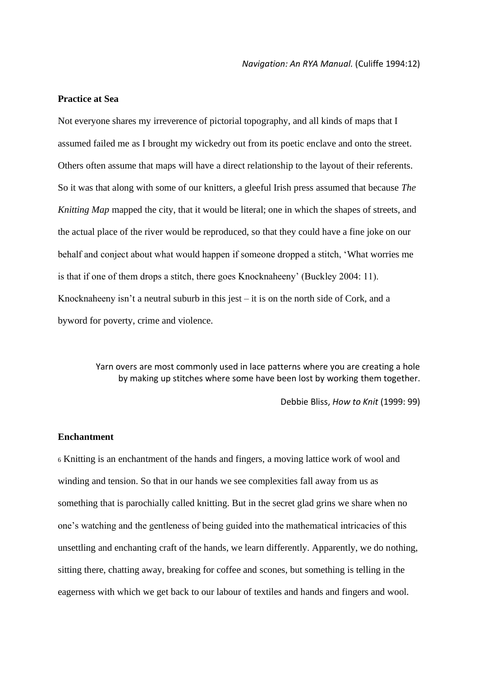### **Practice at Sea**

Not everyone shares my irreverence of pictorial topography, and all kinds of maps that I assumed failed me as I brought my wickedry out from its poetic enclave and onto the street. Others often assume that maps will have a direct relationship to the layout of their referents. So it was that along with some of our knitters, a gleeful Irish press assumed that because *The Knitting Map* mapped the city, that it would be literal; one in which the shapes of streets, and the actual place of the river would be reproduced, so that they could have a fine joke on our behalf and conject about what would happen if someone dropped a stitch, 'What worries me is that if one of them drops a stitch, there goes Knocknaheeny' (Buckley 2004: 11). Knocknaheeny isn't a neutral suburb in this jest  $-$  it is on the north side of Cork, and a byword for poverty, crime and violence.

> Yarn overs are most commonly used in lace patterns where you are creating a hole by making up stitches where some have been lost by working them together.

> > Debbie Bliss, *How to Knit* (1999: 99)

# **Enchantment**

<sup>6</sup> Knitting is an enchantment of the hands and fingers, a moving lattice work of wool and winding and tension. So that in our hands we see complexities fall away from us as something that is parochially called knitting. But in the secret glad grins we share when no one's watching and the gentleness of being guided into the mathematical intricacies of this unsettling and enchanting craft of the hands, we learn differently. Apparently, we do nothing, sitting there, chatting away, breaking for coffee and scones, but something is telling in the eagerness with which we get back to our labour of textiles and hands and fingers and wool.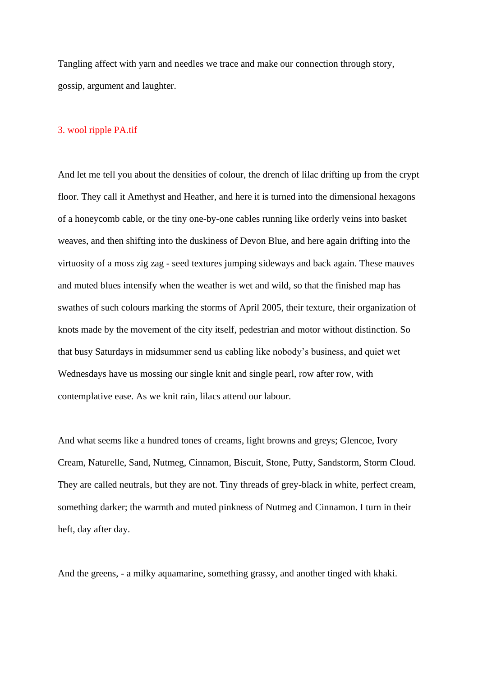Tangling affect with yarn and needles we trace and make our connection through story, gossip, argument and laughter.

### 3. wool ripple PA.tif

And let me tell you about the densities of colour, the drench of lilac drifting up from the crypt floor. They call it Amethyst and Heather, and here it is turned into the dimensional hexagons of a honeycomb cable, or the tiny one-by-one cables running like orderly veins into basket weaves, and then shifting into the duskiness of Devon Blue, and here again drifting into the virtuosity of a moss zig zag - seed textures jumping sideways and back again. These mauves and muted blues intensify when the weather is wet and wild, so that the finished map has swathes of such colours marking the storms of April 2005, their texture, their organization of knots made by the movement of the city itself, pedestrian and motor without distinction. So that busy Saturdays in midsummer send us cabling like nobody's business, and quiet wet Wednesdays have us mossing our single knit and single pearl, row after row, with contemplative ease. As we knit rain, lilacs attend our labour.

And what seems like a hundred tones of creams, light browns and greys; Glencoe, Ivory Cream, Naturelle, Sand, Nutmeg, Cinnamon, Biscuit, Stone, Putty, Sandstorm, Storm Cloud. They are called neutrals, but they are not. Tiny threads of grey-black in white, perfect cream, something darker; the warmth and muted pinkness of Nutmeg and Cinnamon. I turn in their heft, day after day.

And the greens, - a milky aquamarine, something grassy, and another tinged with khaki.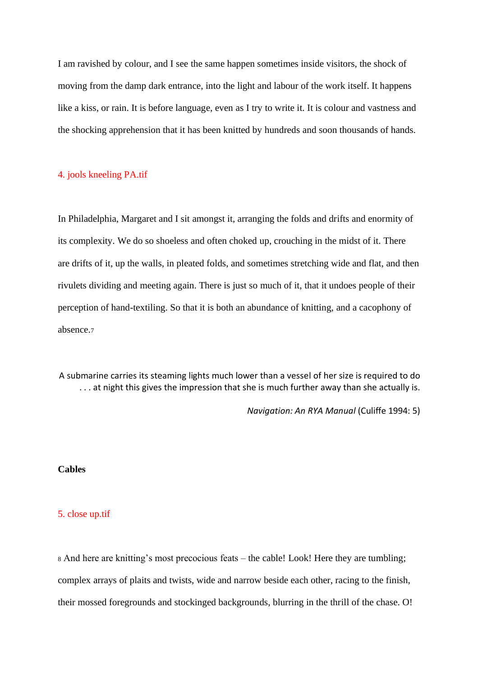I am ravished by colour, and I see the same happen sometimes inside visitors, the shock of moving from the damp dark entrance, into the light and labour of the work itself. It happens like a kiss, or rain. It is before language, even as I try to write it. It is colour and vastness and the shocking apprehension that it has been knitted by hundreds and soon thousands of hands.

# 4. jools kneeling PA.tif

In Philadelphia, Margaret and I sit amongst it, arranging the folds and drifts and enormity of its complexity. We do so shoeless and often choked up, crouching in the midst of it. There are drifts of it, up the walls, in pleated folds, and sometimes stretching wide and flat, and then rivulets dividing and meeting again. There is just so much of it, that it undoes people of their perception of hand-textiling. So that it is both an abundance of knitting, and a cacophony of absence.<sup>7</sup>

A submarine carries its steaming lights much lower than a vessel of her size is required to do ... at night this gives the impression that she is much further away than she actually is.

*Navigation: An RYA Manual* (Culiffe 1994: 5)

# **Cables**

# 5. close up.tif

<sup>8</sup> And here are knitting's most precocious feats – the cable! Look! Here they are tumbling; complex arrays of plaits and twists, wide and narrow beside each other, racing to the finish, their mossed foregrounds and stockinged backgrounds, blurring in the thrill of the chase. O!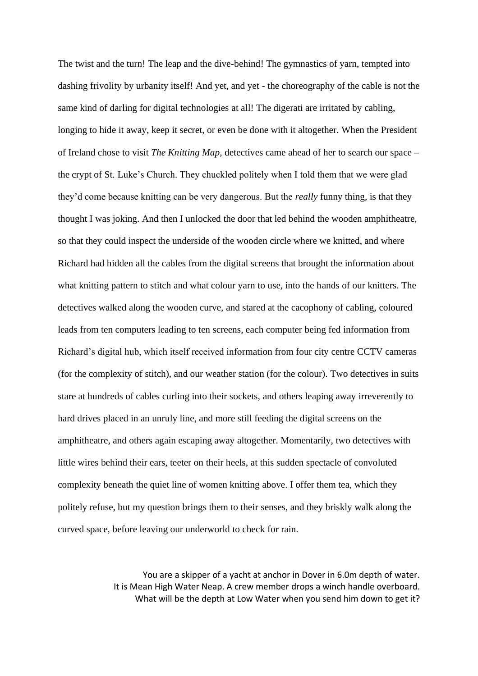The twist and the turn! The leap and the dive-behind! The gymnastics of yarn, tempted into dashing frivolity by urbanity itself! And yet, and yet - the choreography of the cable is not the same kind of darling for digital technologies at all! The digerati are irritated by cabling, longing to hide it away, keep it secret, or even be done with it altogether. When the President of Ireland chose to visit *The Knitting Map*, detectives came ahead of her to search our space – the crypt of St. Luke's Church. They chuckled politely when I told them that we were glad they'd come because knitting can be very dangerous. But the *really* funny thing, is that they thought I was joking. And then I unlocked the door that led behind the wooden amphitheatre, so that they could inspect the underside of the wooden circle where we knitted, and where Richard had hidden all the cables from the digital screens that brought the information about what knitting pattern to stitch and what colour yarn to use, into the hands of our knitters. The detectives walked along the wooden curve, and stared at the cacophony of cabling, coloured leads from ten computers leading to ten screens, each computer being fed information from Richard's digital hub, which itself received information from four city centre CCTV cameras (for the complexity of stitch), and our weather station (for the colour). Two detectives in suits stare at hundreds of cables curling into their sockets, and others leaping away irreverently to hard drives placed in an unruly line, and more still feeding the digital screens on the amphitheatre, and others again escaping away altogether. Momentarily, two detectives with little wires behind their ears, teeter on their heels, at this sudden spectacle of convoluted complexity beneath the quiet line of women knitting above. I offer them tea, which they politely refuse, but my question brings them to their senses, and they briskly walk along the curved space, before leaving our underworld to check for rain.

> You are a skipper of a yacht at anchor in Dover in 6.0m depth of water. It is Mean High Water Neap. A crew member drops a winch handle overboard. What will be the depth at Low Water when you send him down to get it?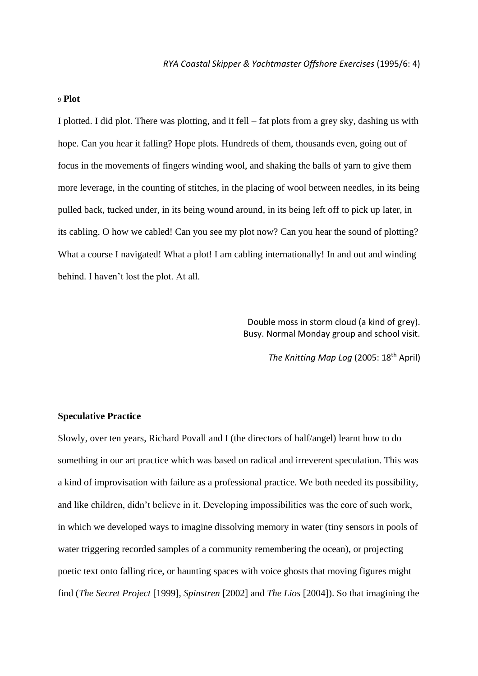### <sup>9</sup> **Plot**

I plotted. I did plot. There was plotting, and it fell – fat plots from a grey sky, dashing us with hope. Can you hear it falling? Hope plots. Hundreds of them, thousands even, going out of focus in the movements of fingers winding wool, and shaking the balls of yarn to give them more leverage, in the counting of stitches, in the placing of wool between needles, in its being pulled back, tucked under, in its being wound around, in its being left off to pick up later, in its cabling. O how we cabled! Can you see my plot now? Can you hear the sound of plotting? What a course I navigated! What a plot! I am cabling internationally! In and out and winding behind. I haven't lost the plot. At all.

> Double moss in storm cloud (a kind of grey). Busy. Normal Monday group and school visit.

> > *The Knitting Map Log* (2005: 18th April)

### **Speculative Practice**

Slowly, over ten years, Richard Povall and I (the directors of half/angel) learnt how to do something in our art practice which was based on radical and irreverent speculation. This was a kind of improvisation with failure as a professional practice. We both needed its possibility, and like children, didn't believe in it. Developing impossibilities was the core of such work, in which we developed ways to imagine dissolving memory in water (tiny sensors in pools of water triggering recorded samples of a community remembering the ocean), or projecting poetic text onto falling rice, or haunting spaces with voice ghosts that moving figures might find (*The Secret Project* [1999], *Spinstren* [2002] and *The Lios* [2004]). So that imagining the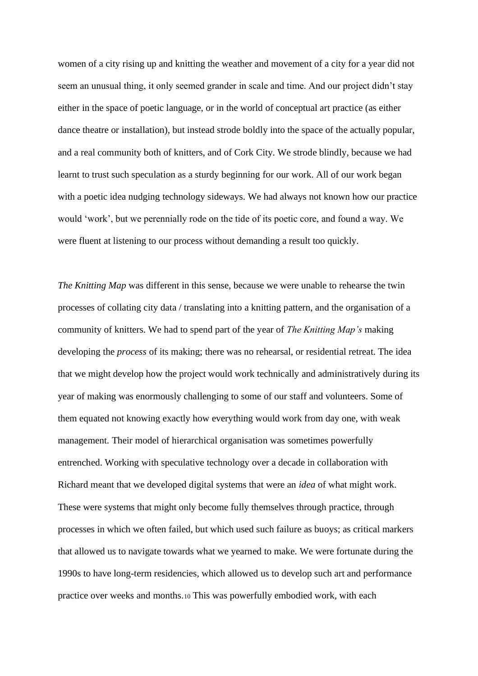women of a city rising up and knitting the weather and movement of a city for a year did not seem an unusual thing, it only seemed grander in scale and time. And our project didn't stay either in the space of poetic language, or in the world of conceptual art practice (as either dance theatre or installation), but instead strode boldly into the space of the actually popular, and a real community both of knitters, and of Cork City. We strode blindly, because we had learnt to trust such speculation as a sturdy beginning for our work. All of our work began with a poetic idea nudging technology sideways. We had always not known how our practice would 'work', but we perennially rode on the tide of its poetic core, and found a way. We were fluent at listening to our process without demanding a result too quickly.

*The Knitting Map* was different in this sense, because we were unable to rehearse the twin processes of collating city data / translating into a knitting pattern, and the organisation of a community of knitters. We had to spend part of the year of *The Knitting Map's* making developing the *process* of its making; there was no rehearsal, or residential retreat. The idea that we might develop how the project would work technically and administratively during its year of making was enormously challenging to some of our staff and volunteers. Some of them equated not knowing exactly how everything would work from day one, with weak management. Their model of hierarchical organisation was sometimes powerfully entrenched. Working with speculative technology over a decade in collaboration with Richard meant that we developed digital systems that were an *idea* of what might work. These were systems that might only become fully themselves through practice, through processes in which we often failed, but which used such failure as buoys; as critical markers that allowed us to navigate towards what we yearned to make. We were fortunate during the 1990s to have long-term residencies, which allowed us to develop such art and performance practice over weeks and months.<sup>10</sup> This was powerfully embodied work, with each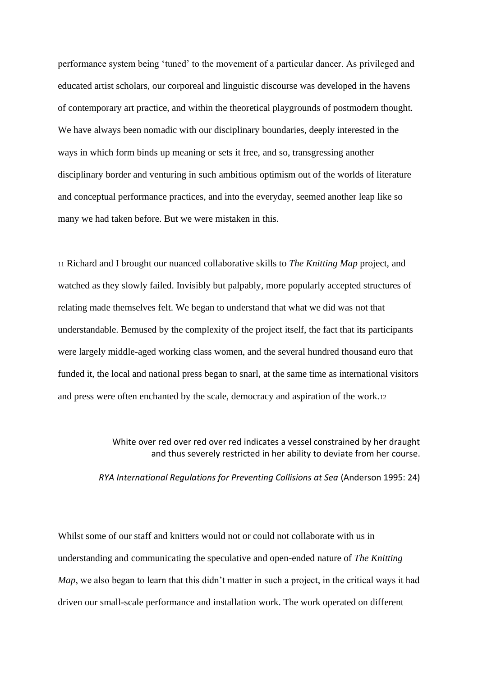performance system being 'tuned' to the movement of a particular dancer. As privileged and educated artist scholars, our corporeal and linguistic discourse was developed in the havens of contemporary art practice, and within the theoretical playgrounds of postmodern thought. We have always been nomadic with our disciplinary boundaries, deeply interested in the ways in which form binds up meaning or sets it free, and so, transgressing another disciplinary border and venturing in such ambitious optimism out of the worlds of literature and conceptual performance practices, and into the everyday, seemed another leap like so many we had taken before. But we were mistaken in this.

<sup>11</sup> Richard and I brought our nuanced collaborative skills to *The Knitting Map* project, and watched as they slowly failed. Invisibly but palpably, more popularly accepted structures of relating made themselves felt. We began to understand that what we did was not that understandable. Bemused by the complexity of the project itself, the fact that its participants were largely middle-aged working class women, and the several hundred thousand euro that funded it, the local and national press began to snarl, at the same time as international visitors and press were often enchanted by the scale, democracy and aspiration of the work.<sup>12</sup>

> White over red over red over red indicates a vessel constrained by her draught and thus severely restricted in her ability to deviate from her course.

*RYA International Regulations for Preventing Collisions at Sea* (Anderson 1995: 24)

Whilst some of our staff and knitters would not or could not collaborate with us in understanding and communicating the speculative and open-ended nature of *The Knitting Map*, we also began to learn that this didn't matter in such a project, in the critical ways it had driven our small-scale performance and installation work. The work operated on different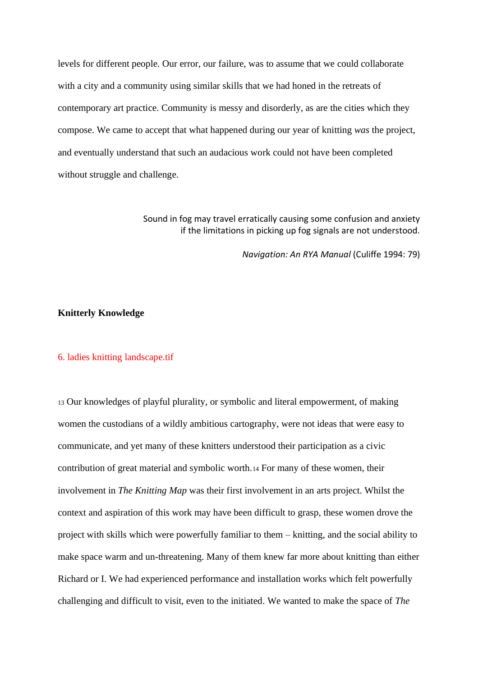levels for different people. Our error, our failure, was to assume that we could collaborate with a city and a community using similar skills that we had honed in the retreats of contemporary art practice. Community is messy and disorderly, as are the cities which they compose. We came to accept that what happened during our year of knitting *was* the project, and eventually understand that such an audacious work could not have been completed without struggle and challenge.

> Sound in fog may travel erratically causing some confusion and anxiety if the limitations in picking up fog signals are not understood.

> > *Navigation: An RYA Manual* (Culiffe 1994: 79)

## **Knitterly Knowledge**

# 6. ladies knitting landscape.tif

<sup>13</sup> Our knowledges of playful plurality, or symbolic and literal empowerment, of making women the custodians of a wildly ambitious cartography, were not ideas that were easy to communicate, and yet many of these knitters understood their participation as a civic contribution of great material and symbolic worth.<sup>14</sup> For many of these women, their involvement in *The Knitting Map* was their first involvement in an arts project. Whilst the context and aspiration of this work may have been difficult to grasp, these women drove the project with skills which were powerfully familiar to them – knitting, and the social ability to make space warm and un-threatening. Many of them knew far more about knitting than either Richard or I. We had experienced performance and installation works which felt powerfully challenging and difficult to visit, even to the initiated. We wanted to make the space of *The*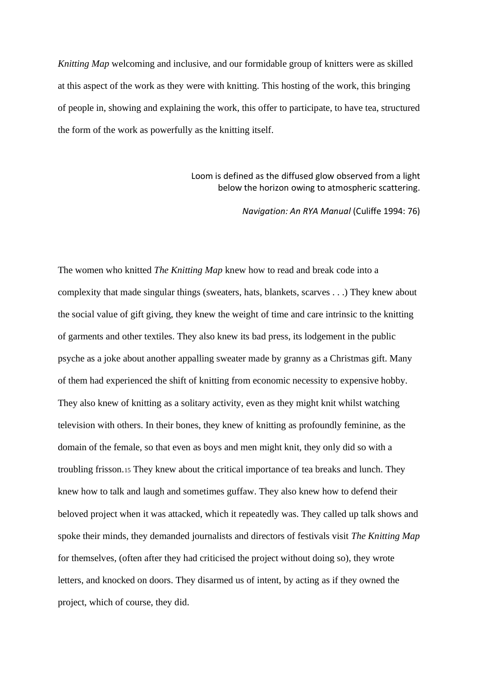*Knitting Map* welcoming and inclusive, and our formidable group of knitters were as skilled at this aspect of the work as they were with knitting. This hosting of the work, this bringing of people in, showing and explaining the work, this offer to participate, to have tea, structured the form of the work as powerfully as the knitting itself.

# Loom is defined as the diffused glow observed from a light below the horizon owing to atmospheric scattering.

*Navigation: An RYA Manual* (Culiffe 1994: 76)

The women who knitted *The Knitting Map* knew how to read and break code into a complexity that made singular things (sweaters, hats, blankets, scarves . . .) They knew about the social value of gift giving, they knew the weight of time and care intrinsic to the knitting of garments and other textiles. They also knew its bad press, its lodgement in the public psyche as a joke about another appalling sweater made by granny as a Christmas gift. Many of them had experienced the shift of knitting from economic necessity to expensive hobby. They also knew of knitting as a solitary activity, even as they might knit whilst watching television with others. In their bones, they knew of knitting as profoundly feminine, as the domain of the female, so that even as boys and men might knit, they only did so with a troubling frisson.<sup>15</sup> They knew about the critical importance of tea breaks and lunch. They knew how to talk and laugh and sometimes guffaw. They also knew how to defend their beloved project when it was attacked, which it repeatedly was. They called up talk shows and spoke their minds, they demanded journalists and directors of festivals visit *The Knitting Map*  for themselves, (often after they had criticised the project without doing so), they wrote letters, and knocked on doors. They disarmed us of intent, by acting as if they owned the project, which of course, they did.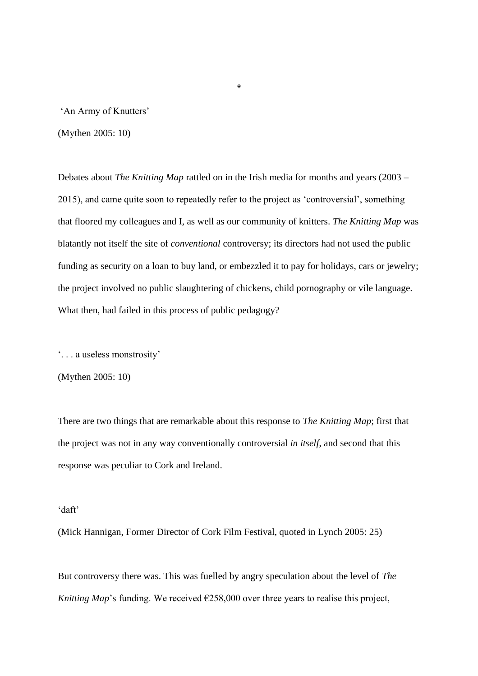'An Army of Knutters'

(Mythen 2005: 10)

Debates about *The Knitting Map* rattled on in the Irish media for months and years (2003 – 2015), and came quite soon to repeatedly refer to the project as 'controversial', something that floored my colleagues and I, as well as our community of knitters. *The Knitting Map* was blatantly not itself the site of *conventional* controversy; its directors had not used the public funding as security on a loan to buy land, or embezzled it to pay for holidays, cars or jewelry; the project involved no public slaughtering of chickens, child pornography or vile language. What then, had failed in this process of public pedagogy?

◈

'. . . a useless monstrosity'

(Mythen 2005: 10)

There are two things that are remarkable about this response to *The Knitting Map*; first that the project was not in any way conventionally controversial *in itself*, and second that this response was peculiar to Cork and Ireland.

### 'daft'

(Mick Hannigan, Former Director of Cork Film Festival, quoted in Lynch 2005: 25)

But controversy there was. This was fuelled by angry speculation about the level of *The Knitting Map*'s funding. We received  $\epsilon$ 258,000 over three years to realise this project,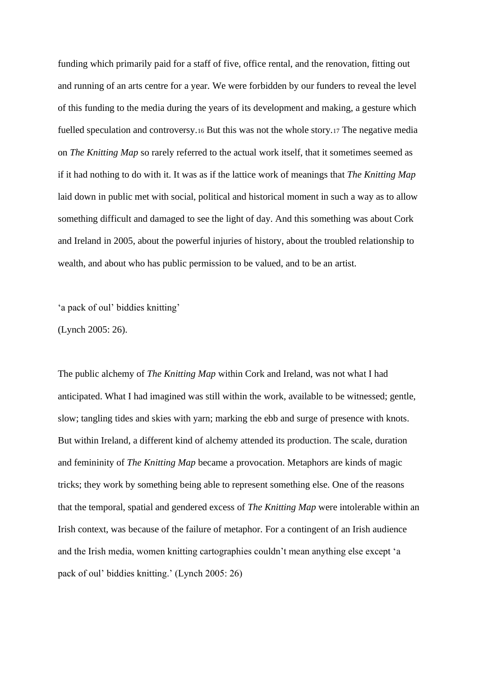funding which primarily paid for a staff of five, office rental, and the renovation, fitting out and running of an arts centre for a year. We were forbidden by our funders to reveal the level of this funding to the media during the years of its development and making, a gesture which fuelled speculation and controversy.<sup>16</sup> But this was not the whole story.<sup>17</sup> The negative media on *The Knitting Map* so rarely referred to the actual work itself, that it sometimes seemed as if it had nothing to do with it. It was as if the lattice work of meanings that *The Knitting Map* laid down in public met with social, political and historical moment in such a way as to allow something difficult and damaged to see the light of day. And this something was about Cork and Ireland in 2005, about the powerful injuries of history, about the troubled relationship to wealth, and about who has public permission to be valued, and to be an artist.

'a pack of oul' biddies knitting'

(Lynch 2005: 26).

The public alchemy of *The Knitting Map* within Cork and Ireland, was not what I had anticipated. What I had imagined was still within the work, available to be witnessed; gentle, slow; tangling tides and skies with yarn; marking the ebb and surge of presence with knots. But within Ireland, a different kind of alchemy attended its production. The scale, duration and femininity of *The Knitting Map* became a provocation. Metaphors are kinds of magic tricks; they work by something being able to represent something else. One of the reasons that the temporal, spatial and gendered excess of *The Knitting Map* were intolerable within an Irish context, was because of the failure of metaphor. For a contingent of an Irish audience and the Irish media, women knitting cartographies couldn't mean anything else except 'a pack of oul' biddies knitting.' (Lynch 2005: 26)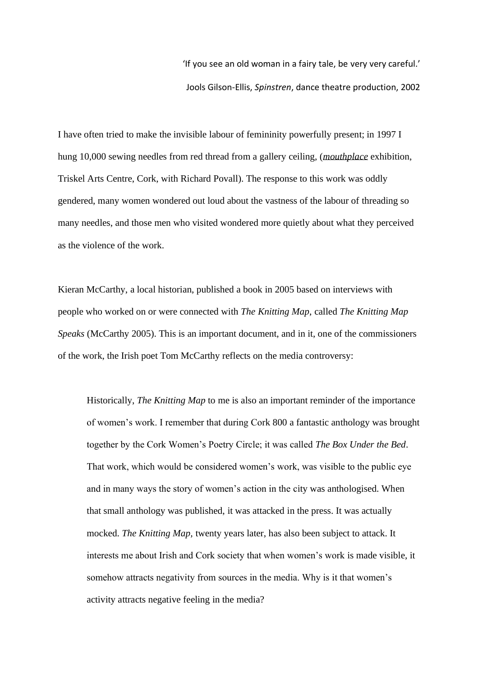'If you see an old woman in a fairy tale, be very very careful.' Jools Gilson-Ellis, *Spinstren*, dance theatre production, 2002

I have often tried to make the invisible labour of femininity powerfully present; in 1997 I hung 10,000 sewing needles from red thread from a gallery ceiling, (*mouthplace* exhibition, Triskel Arts Centre, Cork, with Richard Povall). The response to this work was oddly gendered, many women wondered out loud about the vastness of the labour of threading so many needles, and those men who visited wondered more quietly about what they perceived as the violence of the work.

Kieran McCarthy, a local historian, published a book in 2005 based on interviews with people who worked on or were connected with *The Knitting Map*, called *The Knitting Map Speaks* (McCarthy 2005). This is an important document, and in it, one of the commissioners of the work, the Irish poet Tom McCarthy reflects on the media controversy:

Historically, *The Knitting Map* to me is also an important reminder of the importance of women's work. I remember that during Cork 800 a fantastic anthology was brought together by the Cork Women's Poetry Circle; it was called *The Box Under the Bed*. That work, which would be considered women's work, was visible to the public eye and in many ways the story of women's action in the city was anthologised. When that small anthology was published, it was attacked in the press. It was actually mocked. *The Knitting Map,* twenty years later, has also been subject to attack. It interests me about Irish and Cork society that when women's work is made visible, it somehow attracts negativity from sources in the media. Why is it that women's activity attracts negative feeling in the media?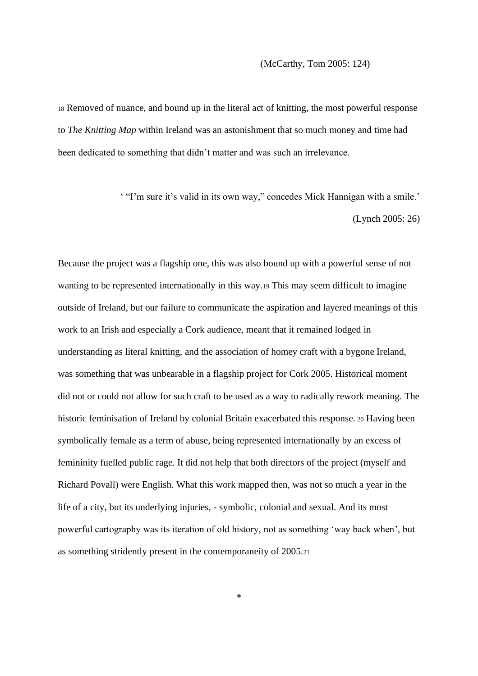### (McCarthy, Tom 2005: 124)

<sup>18</sup> Removed of nuance, and bound up in the literal act of knitting, the most powerful response to *The Knitting Map* within Ireland was an astonishment that so much money and time had been dedicated to something that didn't matter and was such an irrelevance.

> ' "I'm sure it's valid in its own way," concedes Mick Hannigan with a smile.' (Lynch 2005: 26)

Because the project was a flagship one, this was also bound up with a powerful sense of not wanting to be represented internationally in this way.<sup>19</sup> This may seem difficult to imagine outside of Ireland, but our failure to communicate the aspiration and layered meanings of this work to an Irish and especially a Cork audience, meant that it remained lodged in understanding as literal knitting, and the association of homey craft with a bygone Ireland, was something that was unbearable in a flagship project for Cork 2005. Historical moment did not or could not allow for such craft to be used as a way to radically rework meaning. The historic feminisation of Ireland by colonial Britain exacerbated this response. <sup>20</sup> Having been symbolically female as a term of abuse, being represented internationally by an excess of femininity fuelled public rage. It did not help that both directors of the project (myself and Richard Povall) were English. What this work mapped then, was not so much a year in the life of a city, but its underlying injuries, - symbolic, colonial and sexual. And its most powerful cartography was its iteration of old history, not as something 'way back when', but as something stridently present in the contemporaneity of 2005.<sup>21</sup>

◈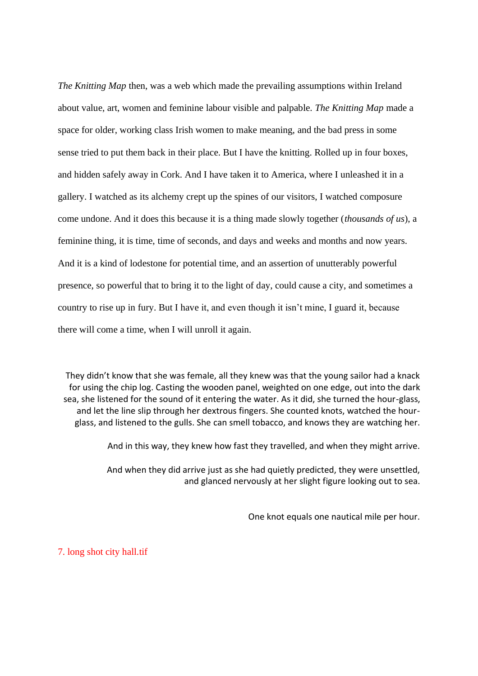*The Knitting Map* then, was a web which made the prevailing assumptions within Ireland about value, art, women and feminine labour visible and palpable. *The Knitting Map* made a space for older, working class Irish women to make meaning, and the bad press in some sense tried to put them back in their place. But I have the knitting. Rolled up in four boxes, and hidden safely away in Cork. And I have taken it to America, where I unleashed it in a gallery. I watched as its alchemy crept up the spines of our visitors, I watched composure come undone. And it does this because it is a thing made slowly together (*thousands of us*), a feminine thing, it is time, time of seconds, and days and weeks and months and now years. And it is a kind of lodestone for potential time, and an assertion of unutterably powerful presence, so powerful that to bring it to the light of day, could cause a city, and sometimes a country to rise up in fury. But I have it, and even though it isn't mine, I guard it, because there will come a time, when I will unroll it again.

They didn't know that she was female, all they knew was that the young sailor had a knack for using the chip log. Casting the wooden panel, weighted on one edge, out into the dark sea, she listened for the sound of it entering the water. As it did, she turned the hour-glass, and let the line slip through her dextrous fingers. She counted knots, watched the hourglass, and listened to the gulls. She can smell tobacco, and knows they are watching her.

And in this way, they knew how fast they travelled, and when they might arrive.

And when they did arrive just as she had quietly predicted, they were unsettled, and glanced nervously at her slight figure looking out to sea.

One knot equals one nautical mile per hour.

7. long shot city hall.tif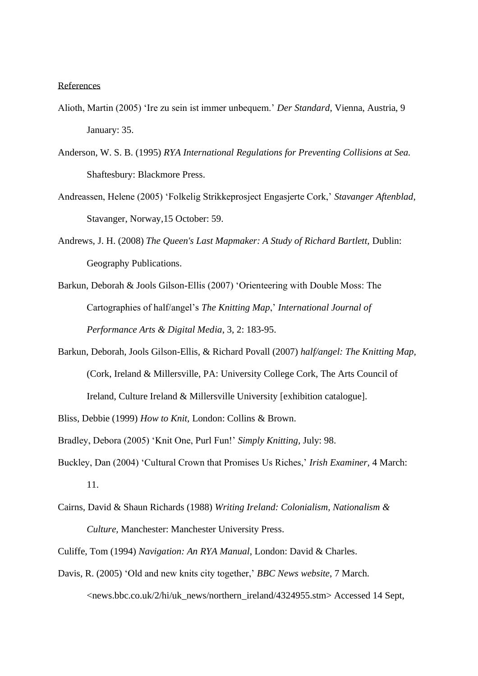### References

- Alioth, Martin (2005) 'Ire zu sein ist immer unbequem.' *Der Standard*, Vienna, Austria, 9 January: 35.
- Anderson, W. S. B. (1995) *RYA International Regulations for Preventing Collisions at Sea.*  Shaftesbury: Blackmore Press.
- Andreassen, Helene (2005) 'Folkelig Strikkeprosject Engasjerte Cork,' *Stavanger Aftenblad*, Stavanger, Norway,15 October: 59.
- Andrews, J. H. (2008) *The Queen's Last Mapmaker: A Study of Richard Bartlett,* Dublin: Geography Publications.
- Barkun, Deborah & Jools Gilson-Ellis (2007) 'Orienteering with Double Moss: The Cartographies of half/angel's *The Knitting Map*,' *International Journal of Performance Arts & Digital Media*, 3, 2: 183-95.
- Barkun, Deborah, Jools Gilson-Ellis, & Richard Povall (2007) *half/angel: The Knitting Map,* (Cork, Ireland & Millersville, PA: University College Cork, The Arts Council of Ireland, Culture Ireland & Millersville University [exhibition catalogue].
- Bliss, Debbie (1999) *How to Knit,* London: Collins & Brown.
- Bradley, Debora (2005) 'Knit One, Purl Fun!' *Simply Knitting,* July: 98.
- Buckley, Dan (2004) 'Cultural Crown that Promises Us Riches,' *Irish Examiner,* 4 March: 11.
- Cairns, David & Shaun Richards (1988) *Writing Ireland: Colonialism, Nationalism & Culture,* Manchester: Manchester University Press.
- Culiffe, Tom (1994) *Navigation: An RYA Manual*, London: David & Charles.
- Davis, R. (2005) 'Old and new knits city together,' *BBC News website*, 7 March. <news.bbc.co.uk/2/hi/uk\_news/northern\_ireland/4324955.stm> Accessed 14 Sept,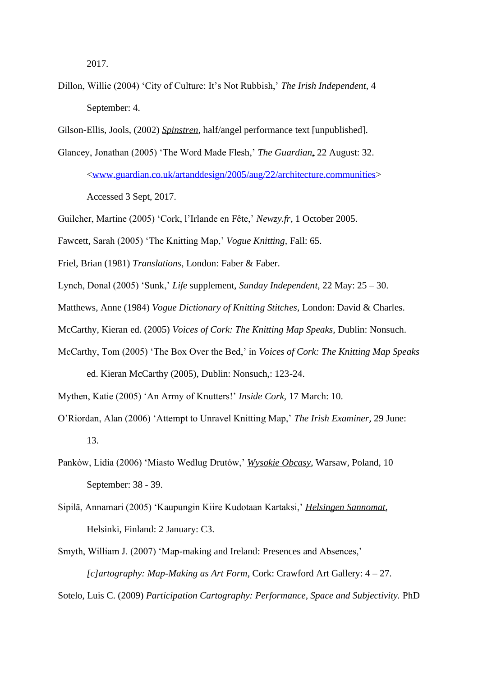2017.

- Dillon, Willie (2004) 'City of Culture: It's Not Rubbish,' *The Irish Independent*, 4 September: 4.
- Gilson-Ellis, Jools, (2002) *Spinstren*, half/angel performance text [unpublished].
- Glancey, Jonathan (2005) 'The Word Made Flesh,' *The Guardian*, 22 August: 32. [<www.guardian.co.uk/artanddesign/2005/aug/22/architecture.communities>](http://www.guardian.co.uk/artanddesign/2005/aug/22/architecture.communities) Accessed 3 Sept, 2017.
- Guilcher, Martine (2005) 'Cork, l'Irlande en Fête,' *Newzy.fr*, 1 October 2005.
- Fawcett, Sarah (2005) 'The Knitting Map,' *Vogue Knitting,* Fall: 65.
- Friel, Brian (1981) *Translations,* London: Faber & Faber.
- Lynch, Donal (2005) 'Sunk,' *Life* supplement, *Sunday Independent,* 22 May: 25 30.
- Matthews, Anne (1984) *Vogue Dictionary of Knitting Stitches,* London: David & Charles.
- McCarthy, Kieran ed. (2005) *Voices of Cork: The Knitting Map Speaks,* Dublin: Nonsuch.
- McCarthy, Tom (2005) 'The Box Over the Bed,' in *Voices of Cork: The Knitting Map Speaks* ed. Kieran McCarthy (2005), Dublin: Nonsuch,: 123-24.
- Mythen, Katie (2005) 'An Army of Knutters!' *Inside Cork,* 17 March: 10.
- O'Riordan, Alan (2006) 'Attempt to Unravel Knitting Map,' *The Irish Examiner,* 29 June: 13.
- Panków, Lidia (2006) 'Miasto Wedlug Drutów,' *Wysokie Obcasy*, Warsaw, Poland, 10 September: 38 - 39.
- Sipilä, Annamari (2005) 'Kaupungin Kiire Kudotaan Kartaksi,' *Helsingen Sannomat*, Helsinki, Finland: 2 January: C3.
- Smyth, William J. (2007) 'Map-making and Ireland: Presences and Absences,' *[c]artography: Map-Making as Art Form*, Cork: Crawford Art Gallery: 4 – 27.
- Sotelo, Luis C. (2009) *Participation Cartography: Performance, Space and Subjectivity.* PhD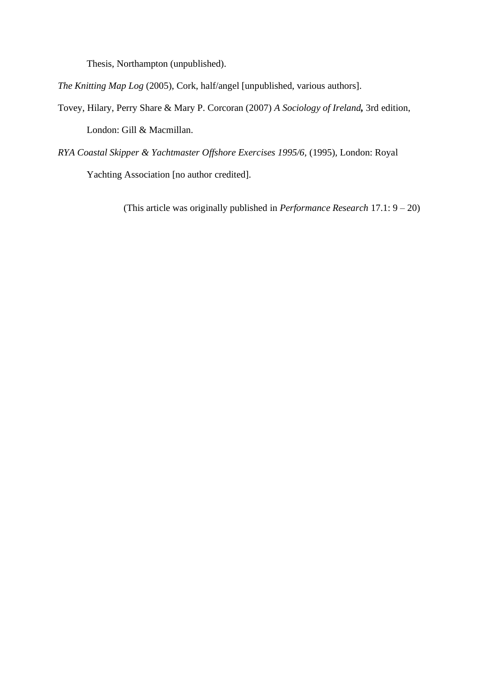Thesis, Northampton (unpublished).

*The Knitting Map Log* (2005), Cork, half/angel [unpublished, various authors].

- Tovey, Hilary, Perry Share & Mary P. Corcoran (2007) *A Sociology of Ireland,* 3rd edition, London: Gill & Macmillan.
- *RYA Coastal Skipper & Yachtmaster Offshore Exercises 1995/6,* (1995)*,* London: Royal Yachting Association [no author credited].

(This article was originally published in *Performance Research* 17.1: 9 – 20)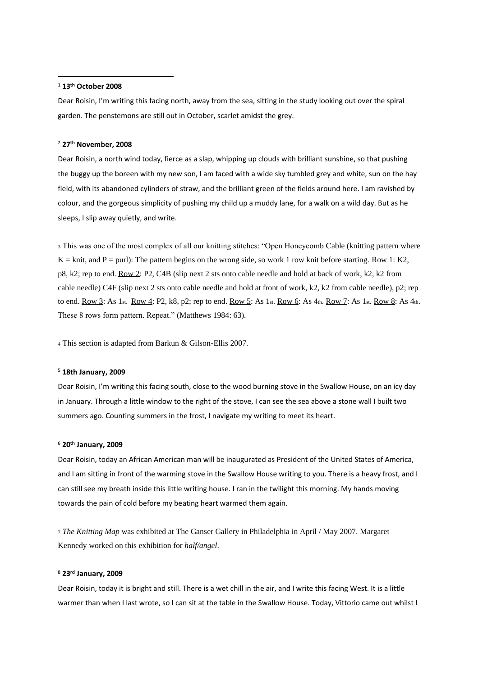#### <sup>1</sup> **13th October 2008**

Dear Roisin, I'm writing this facing north, away from the sea, sitting in the study looking out over the spiral garden. The penstemons are still out in October, scarlet amidst the grey.

### <sup>2</sup> **27th November, 2008**

Dear Roisin, a north wind today, fierce as a slap, whipping up clouds with brilliant sunshine, so that pushing the buggy up the boreen with my new son, I am faced with a wide sky tumbled grey and white, sun on the hay field, with its abandoned cylinders of straw, and the brilliant green of the fields around here. I am ravished by colour, and the gorgeous simplicity of pushing my child up a muddy lane, for a walk on a wild day. But as he sleeps, I slip away quietly, and write.

<sup>3</sup> This was one of the most complex of all our knitting stitches: "Open Honeycomb Cable (knitting pattern where  $K =$  knit, and P = purl): The pattern begins on the wrong side, so work 1 row knit before starting. Row 1: K2, p8, k2; rep to end. Row 2: P2, C4B (slip next 2 sts onto cable needle and hold at back of work, k2, k2 from cable needle) C4F (slip next 2 sts onto cable needle and hold at front of work, k2, k2 from cable needle), p2; rep to end. Row 3: As 1st. Row 4: P2, k8, p2; rep to end. Row 5: As 1st. Row 6: As 4th. Row 7: As 1st. Row 8: As 4th. These 8 rows form pattern. Repeat." (Matthews 1984: 63).

<sup>4</sup> This section is adapted from Barkun & Gilson-Ellis 2007.

#### <sup>5</sup> **18th January, 2009**

Dear Roisin, I'm writing this facing south, close to the wood burning stove in the Swallow House, on an icy day in January. Through a little window to the right of the stove, I can see the sea above a stone wall I built two summers ago. Counting summers in the frost, I navigate my writing to meet its heart.

#### <sup>6</sup> **20th January, 2009**

Dear Roisin, today an African American man will be inaugurated as President of the United States of America, and I am sitting in front of the warming stove in the Swallow House writing to you. There is a heavy frost, and I can still see my breath inside this little writing house. I ran in the twilight this morning. My hands moving towards the pain of cold before my beating heart warmed them again.

<sup>7</sup> *The Knitting Map* was exhibited at The Ganser Gallery in Philadelphia in April / May 2007. Margaret Kennedy worked on this exhibition for *half/angel*.

#### <sup>8</sup> **23rd January, 2009**

Dear Roisin, today it is bright and still. There is a wet chill in the air, and I write this facing West. It is a little warmer than when I last wrote, so I can sit at the table in the Swallow House. Today, Vittorio came out whilst I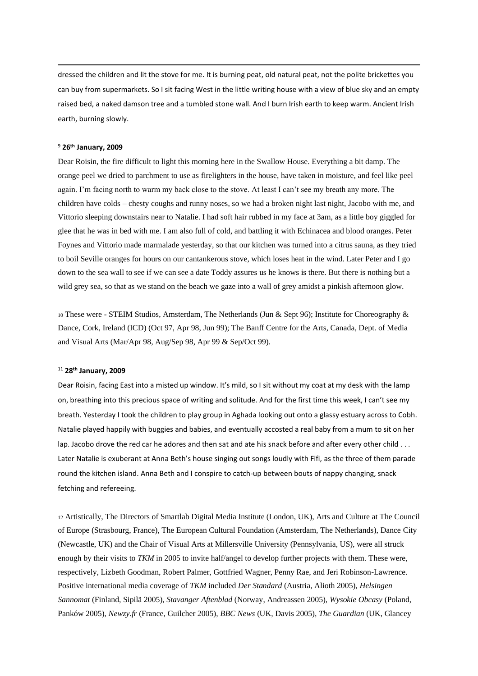dressed the children and lit the stove for me. It is burning peat, old natural peat, not the polite brickettes you can buy from supermarkets. So I sit facing West in the little writing house with a view of blue sky and an empty raised bed, a naked damson tree and a tumbled stone wall. And I burn Irish earth to keep warm. Ancient Irish earth, burning slowly.

#### <sup>9</sup> **26th January, 2009**

Dear Roisin, the fire difficult to light this morning here in the Swallow House. Everything a bit damp. The orange peel we dried to parchment to use as firelighters in the house, have taken in moisture, and feel like peel again. I'm facing north to warm my back close to the stove. At least I can't see my breath any more. The children have colds – chesty coughs and runny noses, so we had a broken night last night, Jacobo with me, and Vittorio sleeping downstairs near to Natalie. I had soft hair rubbed in my face at 3am, as a little boy giggled for glee that he was in bed with me. I am also full of cold, and battling it with Echinacea and blood oranges. Peter Foynes and Vittorio made marmalade yesterday, so that our kitchen was turned into a citrus sauna, as they tried to boil Seville oranges for hours on our cantankerous stove, which loses heat in the wind. Later Peter and I go down to the sea wall to see if we can see a date Toddy assures us he knows is there. But there is nothing but a wild grey sea, so that as we stand on the beach we gaze into a wall of grey amidst a pinkish afternoon glow.

<sup>10</sup> These were - STEIM Studios, Amsterdam, The Netherlands (Jun & Sept 96); Institute for Choreography & Dance, Cork, Ireland (ICD) (Oct 97, Apr 98, Jun 99); The Banff Centre for the Arts, Canada, Dept. of Media and Visual Arts (Mar/Apr 98, Aug/Sep 98, Apr 99 & Sep/Oct 99).

#### <sup>11</sup> **28th January, 2009**

Dear Roisin, facing East into a misted up window. It's mild, so I sit without my coat at my desk with the lamp on, breathing into this precious space of writing and solitude. And for the first time this week, I can't see my breath. Yesterday I took the children to play group in Aghada looking out onto a glassy estuary across to Cobh. Natalie played happily with buggies and babies, and eventually accosted a real baby from a mum to sit on her lap. Jacobo drove the red car he adores and then sat and ate his snack before and after every other child . . . Later Natalie is exuberant at Anna Beth's house singing out songs loudly with Fifi, as the three of them parade round the kitchen island. Anna Beth and I conspire to catch-up between bouts of nappy changing, snack fetching and refereeing.

<sup>12</sup> Artistically, The Directors of Smartlab Digital Media Institute (London, UK), Arts and Culture at The Council of Europe (Strasbourg, France), The European Cultural Foundation (Amsterdam, The Netherlands), Dance City (Newcastle, UK) and the Chair of Visual Arts at Millersville University (Pennsylvania, US), were all struck enough by their visits to *TKM* in 2005 to invite half/angel to develop further projects with them. These were, respectively, Lizbeth Goodman, Robert Palmer, Gottfried Wagner, Penny Rae, and Jeri Robinson-Lawrence. Positive international media coverage of *TKM* included *Der Standard* (Austria, Alioth 2005), *Helsingen Sannomat* (Finland, Sipilä 2005), *Stavanger Aftenblad* (Norway, Andreassen 2005), *Wysokie Obcasy* (Poland, Panków 2005), *Newzy.fr* (France, Guilcher 2005), *BBC News* (UK, Davis 2005), *The Guardian* (UK, Glancey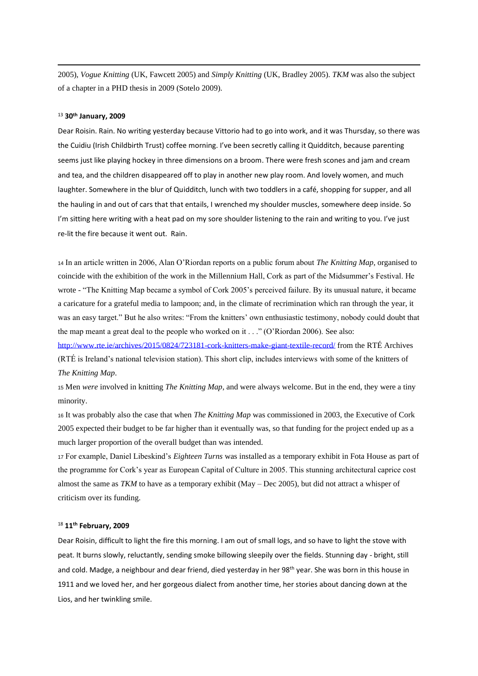2005), *Vogue Knitting* (UK, Fawcett 2005) and *Simply Knitting* (UK, Bradley 2005). *TKM* was also the subject of a chapter in a PHD thesis in 2009 (Sotelo 2009).

### <sup>13</sup> **30th January, 2009**

Dear Roisin. Rain. No writing yesterday because Vittorio had to go into work, and it was Thursday, so there was the Cuidiu (Irish Childbirth Trust) coffee morning. I've been secretly calling it Quidditch, because parenting seems just like playing hockey in three dimensions on a broom. There were fresh scones and jam and cream and tea, and the children disappeared off to play in another new play room. And lovely women, and much laughter. Somewhere in the blur of Quidditch, lunch with two toddlers in a café, shopping for supper, and all the hauling in and out of cars that that entails, I wrenched my shoulder muscles, somewhere deep inside. So I'm sitting here writing with a heat pad on my sore shoulder listening to the rain and writing to you. I've just re-lit the fire because it went out. Rain.

<sup>14</sup> In an article written in 2006, Alan O'Riordan reports on a public forum about *The Knitting Map*, organised to coincide with the exhibition of the work in the Millennium Hall, Cork as part of the Midsummer's Festival. He wrote - "The Knitting Map became a symbol of Cork 2005's perceived failure. By its unusual nature, it became a caricature for a grateful media to lampoon; and, in the climate of recrimination which ran through the year, it was an easy target." But he also writes: "From the knitters' own enthusiastic testimony, nobody could doubt that the map meant a great deal to the people who worked on it . . ." (O'Riordan 2006). See also:

<http://www.rte.ie/archives/2015/0824/723181-cork-knitters-make-giant-textile-record/> from the RTÉ Archives (RTÉ is Ireland's national television station). This short clip, includes interviews with some of the knitters of *The Knitting Map*.

<sup>15</sup> Men *were* involved in knitting *The Knitting Map*, and were always welcome. But in the end, they were a tiny minority.

<sup>16</sup> It was probably also the case that when *The Knitting Map* was commissioned in 2003, the Executive of Cork 2005 expected their budget to be far higher than it eventually was, so that funding for the project ended up as a much larger proportion of the overall budget than was intended.

<sup>17</sup> For example, Daniel Libeskind's *Eighteen Turns* was installed as a temporary exhibit in Fota House as part of the programme for Cork's year as European Capital of Culture in 2005. This stunning architectural caprice cost almost the same as *TKM* to have as a temporary exhibit (May – Dec 2005), but did not attract a whisper of criticism over its funding.

### <sup>18</sup> **11th February, 2009**

Dear Roisin, difficult to light the fire this morning. I am out of small logs, and so have to light the stove with peat. It burns slowly, reluctantly, sending smoke billowing sleepily over the fields. Stunning day - bright, still and cold. Madge, a neighbour and dear friend, died yesterday in her 98<sup>th</sup> year. She was born in this house in 1911 and we loved her, and her gorgeous dialect from another time, her stories about dancing down at the Lios, and her twinkling smile.